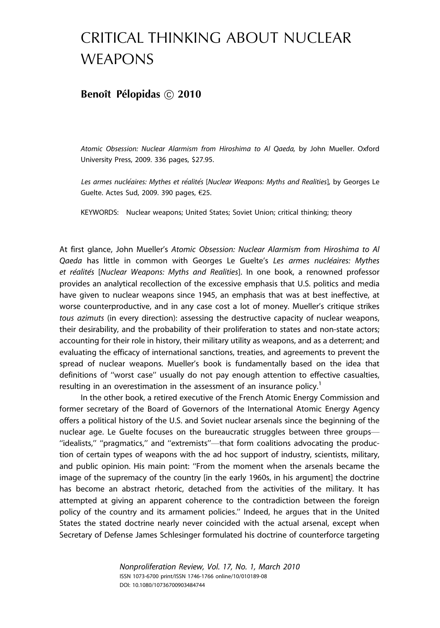# CRITICAL THINKING ABOUT NUCLEAR WEAPONS

## Benoît Pélopidas (c) 2010

Atomic Obsession: Nuclear Alarmism from Hiroshima to Al Qaeda, by John Mueller. Oxford University Press, 2009. 336 pages, \$27.95.

Les armes nucléaires: Mythes et réalités [Nuclear Weapons: Myths and Realities], by Georges Le Guelte. Actes Sud, 2009. 390 pages,  $E$ 25.

KEYWORDS: Nuclear weapons; United States; Soviet Union; critical thinking; theory

At first glance, John Mueller's Atomic Obsession: Nuclear Alarmism from Hiroshima to Al Qaeda has little in common with Georges Le Guelte's Les armes nucléaires: Mythes et réalités [Nuclear Weapons: Myths and Realities]. In one book, a renowned professor provides an analytical recollection of the excessive emphasis that U.S. politics and media have given to nuclear weapons since 1945, an emphasis that was at best ineffective, at worse counterproductive, and in any case cost a lot of money. Mueller's critique strikes tous azimuts (in every direction): assessing the destructive capacity of nuclear weapons, their desirability, and the probability of their proliferation to states and non-state actors; accounting for their role in history, their military utility as weapons, and as a deterrent; and evaluating the efficacy of international sanctions, treaties, and agreements to prevent the spread of nuclear weapons. Mueller's book is fundamentally based on the idea that definitions of ''worst case'' usually do not pay enough attention to effective casualties, resulting in an overestimation in the assessment of an insurance policy.<sup>1</sup>

In the other book, a retired executive of the French Atomic Energy Commission and former secretary of the Board of Governors of the International Atomic Energy Agency offers a political history of the U.S. and Soviet nuclear arsenals since the beginning of the nuclear age. Le Guelte focuses on the bureaucratic struggles between three groups-"idealists," "pragmatics," and "extremists"—that form coalitions advocating the production of certain types of weapons with the ad hoc support of industry, scientists, military, and public opinion. His main point: ''From the moment when the arsenals became the image of the supremacy of the country [in the early 1960s, in his argument] the doctrine has become an abstract rhetoric, detached from the activities of the military. It has attempted at giving an apparent coherence to the contradiction between the foreign policy of the country and its armament policies.'' Indeed, he argues that in the United States the stated doctrine nearly never coincided with the actual arsenal, except when Secretary of Defense James Schlesinger formulated his doctrine of counterforce targeting

> Nonproliferation Review, Vol. 17, No. 1, March 2010 ISSN 1073-6700 print/ISSN 1746-1766 online/10/010189-08 DOI: 10.1080/10736700903484744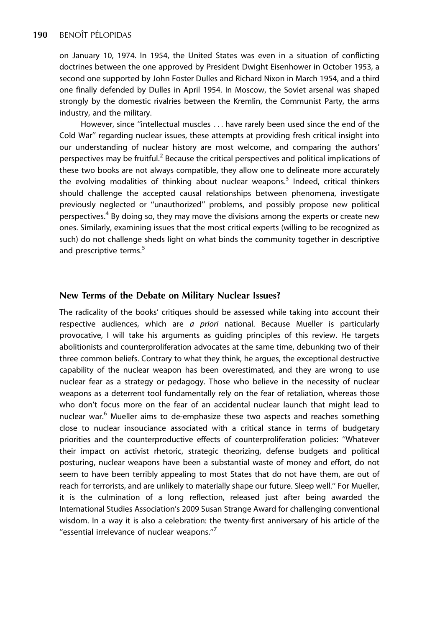on January 10, 1974. In 1954, the United States was even in a situation of conflicting doctrines between the one approved by President Dwight Eisenhower in October 1953, a second one supported by John Foster Dulles and Richard Nixon in March 1954, and a third one finally defended by Dulles in April 1954. In Moscow, the Soviet arsenal was shaped strongly by the domestic rivalries between the Kremlin, the Communist Party, the arms industry, and the military.

However, since ''intellectual muscles ... have rarely been used since the end of the Cold War'' regarding nuclear issues, these attempts at providing fresh critical insight into our understanding of nuclear history are most welcome, and comparing the authors' perspectives may be fruitful.<sup>2</sup> Because the critical perspectives and political implications of these two books are not always compatible, they allow one to delineate more accurately the evolving modalities of thinking about nuclear weapons.<sup>3</sup> Indeed, critical thinkers should challenge the accepted causal relationships between phenomena, investigate previously neglected or ''unauthorized'' problems, and possibly propose new political perspectives.<sup>4</sup> By doing so, they may move the divisions among the experts or create new ones. Similarly, examining issues that the most critical experts (willing to be recognized as such) do not challenge sheds light on what binds the community together in descriptive and prescriptive terms.<sup>5</sup>

### New Terms of the Debate on Military Nuclear Issues?

The radicality of the books' critiques should be assessed while taking into account their respective audiences, which are a priori national. Because Mueller is particularly provocative, I will take his arguments as guiding principles of this review. He targets abolitionists and counterproliferation advocates at the same time, debunking two of their three common beliefs. Contrary to what they think, he argues, the exceptional destructive capability of the nuclear weapon has been overestimated, and they are wrong to use nuclear fear as a strategy or pedagogy. Those who believe in the necessity of nuclear weapons as a deterrent tool fundamentally rely on the fear of retaliation, whereas those who don't focus more on the fear of an accidental nuclear launch that might lead to nuclear war.<sup>6</sup> Mueller aims to de-emphasize these two aspects and reaches something close to nuclear insouciance associated with a critical stance in terms of budgetary priorities and the counterproductive effects of counterproliferation policies: ''Whatever their impact on activist rhetoric, strategic theorizing, defense budgets and political posturing, nuclear weapons have been a substantial waste of money and effort, do not seem to have been terribly appealing to most States that do not have them, are out of reach for terrorists, and are unlikely to materially shape our future. Sleep well.'' For Mueller, it is the culmination of a long reflection, released just after being awarded the International Studies Association's 2009 Susan Strange Award for challenging conventional wisdom. In a way it is also a celebration: the twenty-first anniversary of his article of the "essential irrelevance of nuclear weapons."<sup>7</sup>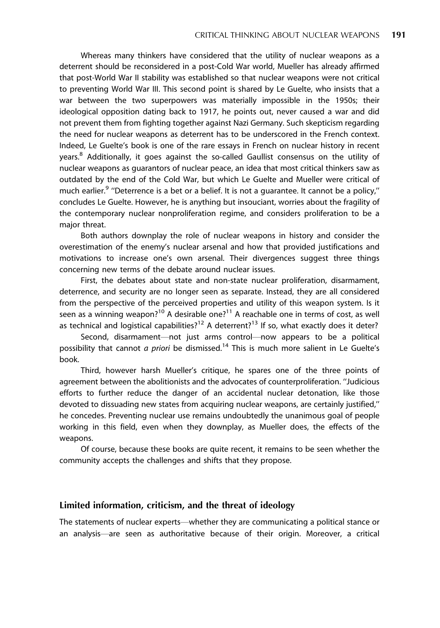Whereas many thinkers have considered that the utility of nuclear weapons as a deterrent should be reconsidered in a post-Cold War world, Mueller has already affirmed that post-World War II stability was established so that nuclear weapons were not critical to preventing World War III. This second point is shared by Le Guelte, who insists that a war between the two superpowers was materially impossible in the 1950s; their ideological opposition dating back to 1917, he points out, never caused a war and did not prevent them from fighting together against Nazi Germany. Such skepticism regarding the need for nuclear weapons as deterrent has to be underscored in the French context. Indeed, Le Guelte's book is one of the rare essays in French on nuclear history in recent years.<sup>8</sup> Additionally, it goes against the so-called Gaullist consensus on the utility of nuclear weapons as guarantors of nuclear peace, an idea that most critical thinkers saw as outdated by the end of the Cold War, but which Le Guelte and Mueller were critical of much earlier.<sup>9</sup> "Deterrence is a bet or a belief. It is not a guarantee. It cannot be a policy," concludes Le Guelte. However, he is anything but insouciant, worries about the fragility of the contemporary nuclear nonproliferation regime, and considers proliferation to be a major threat.

Both authors downplay the role of nuclear weapons in history and consider the overestimation of the enemy's nuclear arsenal and how that provided justifications and motivations to increase one's own arsenal. Their divergences suggest three things concerning new terms of the debate around nuclear issues.

First, the debates about state and non-state nuclear proliferation, disarmament, deterrence, and security are no longer seen as separate. Instead, they are all considered from the perspective of the perceived properties and utility of this weapon system. Is it seen as a winning weapon?<sup>10</sup> A desirable one?<sup>11</sup> A reachable one in terms of cost, as well as technical and logistical capabilities?<sup>12</sup> A deterrent?<sup>13</sup> If so, what exactly does it deter?

Second, disarmament—not just arms control—now appears to be a political possibility that cannot a priori be dismissed.<sup>14</sup> This is much more salient in Le Guelte's book.

Third, however harsh Mueller's critique, he spares one of the three points of agreement between the abolitionists and the advocates of counterproliferation. ''Judicious efforts to further reduce the danger of an accidental nuclear detonation, like those devoted to dissuading new states from acquiring nuclear weapons, are certainly justified,'' he concedes. Preventing nuclear use remains undoubtedly the unanimous goal of people working in this field, even when they downplay, as Mueller does, the effects of the weapons.

Of course, because these books are quite recent, it remains to be seen whether the community accepts the challenges and shifts that they propose.

#### Limited information, criticism, and the threat of ideology

The statements of nuclear experts—whether they are communicating a political stance or an analysis—are seen as authoritative because of their origin. Moreover, a critical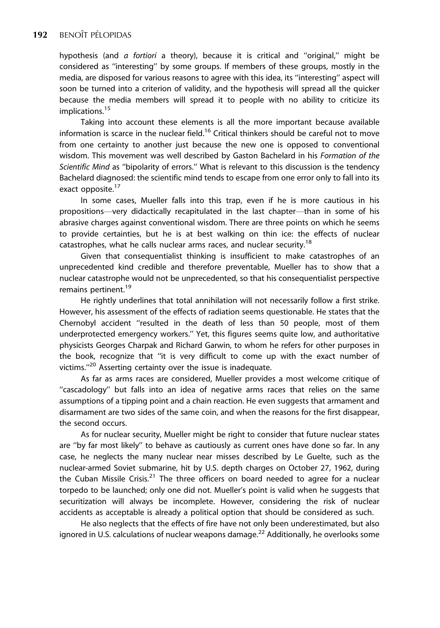hypothesis (and  $a$  fortiori a theory), because it is critical and "original," might be considered as ''interesting'' by some groups. If members of these groups, mostly in the media, are disposed for various reasons to agree with this idea, its ''interesting'' aspect will soon be turned into a criterion of validity, and the hypothesis will spread all the quicker because the media members will spread it to people with no ability to criticize its implications.<sup>15</sup>

Taking into account these elements is all the more important because available information is scarce in the nuclear field.<sup>16</sup> Critical thinkers should be careful not to move from one certainty to another just because the new one is opposed to conventional wisdom. This movement was well described by Gaston Bachelard in his Formation of the Scientific Mind as ''bipolarity of errors.'' What is relevant to this discussion is the tendency Bachelard diagnosed: the scientific mind tends to escape from one error only to fall into its exact opposite.<sup>17</sup>

In some cases, Mueller falls into this trap, even if he is more cautious in his propositions—very didactically recapitulated in the last chapter—than in some of his abrasive charges against conventional wisdom. There are three points on which he seems to provide certainties, but he is at best walking on thin ice: the effects of nuclear catastrophes, what he calls nuclear arms races, and nuclear security.<sup>18</sup>

Given that consequentialist thinking is insufficient to make catastrophes of an unprecedented kind credible and therefore preventable, Mueller has to show that a nuclear catastrophe would not be unprecedented, so that his consequentialist perspective remains pertinent.<sup>19</sup>

He rightly underlines that total annihilation will not necessarily follow a first strike. However, his assessment of the effects of radiation seems questionable. He states that the Chernobyl accident ''resulted in the death of less than 50 people, most of them underprotected emergency workers.'' Yet, this figures seems quite low, and authoritative physicists Georges Charpak and Richard Garwin, to whom he refers for other purposes in the book, recognize that ''it is very difficult to come up with the exact number of victims.''<sup>20</sup> Asserting certainty over the issue is inadequate.

As far as arms races are considered, Mueller provides a most welcome critique of ''cascadology'' but falls into an idea of negative arms races that relies on the same assumptions of a tipping point and a chain reaction. He even suggests that armament and disarmament are two sides of the same coin, and when the reasons for the first disappear, the second occurs.

As for nuclear security, Mueller might be right to consider that future nuclear states are ''by far most likely'' to behave as cautiously as current ones have done so far. In any case, he neglects the many nuclear near misses described by Le Guelte, such as the nuclear-armed Soviet submarine, hit by U.S. depth charges on October 27, 1962, during the Cuban Missile Crisis.<sup>21</sup> The three officers on board needed to agree for a nuclear torpedo to be launched; only one did not. Mueller's point is valid when he suggests that securitization will always be incomplete. However, considering the risk of nuclear accidents as acceptable is already a political option that should be considered as such.

He also neglects that the effects of fire have not only been underestimated, but also ignored in U.S. calculations of nuclear weapons damage.<sup>22</sup> Additionally, he overlooks some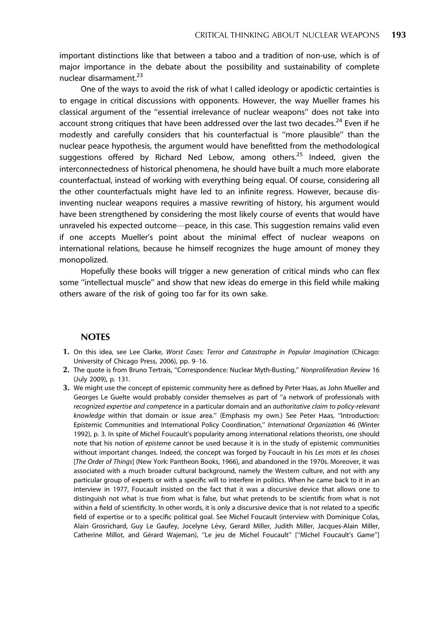important distinctions like that between a taboo and a tradition of non-use, which is of major importance in the debate about the possibility and sustainability of complete nuclear disarmament.<sup>23</sup>

One of the ways to avoid the risk of what I called ideology or apodictic certainties is to engage in critical discussions with opponents. However, the way Mueller frames his classical argument of the ''essential irrelevance of nuclear weapons'' does not take into account strong critiques that have been addressed over the last two decades.<sup>24</sup> Even if he modestly and carefully considers that his counterfactual is ''more plausible'' than the nuclear peace hypothesis, the argument would have benefitted from the methodological suggestions offered by Richard Ned Lebow, among others.<sup>25</sup> Indeed, given the interconnectedness of historical phenomena, he should have built a much more elaborate counterfactual, instead of working with everything being equal. Of course, considering all the other counterfactuals might have led to an infinite regress. However, because disinventing nuclear weapons requires a massive rewriting of history, his argument would have been strengthened by considering the most likely course of events that would have unraveled his expected outcome—peace, in this case. This suggestion remains valid even if one accepts Mueller's point about the minimal effect of nuclear weapons on international relations, because he himself recognizes the huge amount of money they monopolized.

Hopefully these books will trigger a new generation of critical minds who can flex some ''intellectual muscle'' and show that new ideas do emerge in this field while making others aware of the risk of going too far for its own sake.

#### **NOTES**

- 1. On this idea, see Lee Clarke, Worst Cases: Terror and Catastrophe in Popular Imagination (Chicago: University of Chicago Press, 2006), pp. 9-16.
- 2. The quote is from Bruno Tertrais, ''Correspondence: Nuclear Myth-Busting,'' Nonproliferation Review 16 (July 2009), p. 131.
- 3. We might use the concept of epistemic community here as defined by Peter Haas, as John Mueller and Georges Le Guelte would probably consider themselves as part of ''a network of professionals with recognized expertise and competence in a particular domain and an authoritative claim to policy-relevant knowledge within that domain or issue area.'' (Emphasis my own.) See Peter Haas, ''Introduction: Epistemic Communities and International Policy Coordination,'' International Organization 46 (Winter 1992), p. 3. In spite of Michel Foucault's popularity among international relations theorists, one should note that his notion of episteme cannot be used because it is in the study of epistemic communities without important changes. Indeed, the concept was forged by Foucault in his Les mots et les choses [The Order of Things] (New York: Pantheon Books, 1966), and abandoned in the 1970s. Moreover, it was associated with a much broader cultural background, namely the Western culture, and not with any particular group of experts or with a specific will to interfere in politics. When he came back to it in an interview in 1977, Foucault insisted on the fact that it was a discursive device that allows one to distinguish not what is true from what is false, but what pretends to be scientific from what is not within a field of scientificity. In other words, it is only a discursive device that is not related to a specific field of expertise or to a specific political goal. See Michel Foucault (interview with Dominique Colas, Alain Grosrichard, Guy Le Gaufey, Jocelyne Lévy, Gerard Miller, Judith Miller, Jacques-Alain Miller, Catherine Millot, and Gérard Wajeman), "Le jeu de Michel Foucault" ["Michel Foucault's Game"]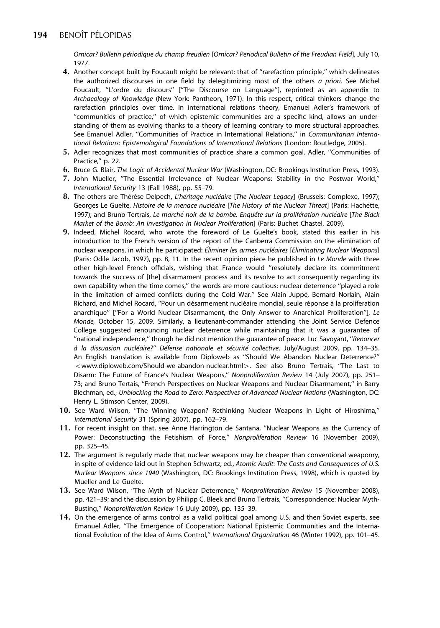Ornicar? Bulletin pe´riodique du champ freudien [Ornicar? Periodical Bulletin of the Freudian Field], July 10, 1977.

- 4. Another concept built by Foucault might be relevant: that of ''rarefaction principle,'' which delineates the authorized discourses in one field by delegitimizing most of the others a priori. See Michel Foucault, ''L'ordre du discours'' [''The Discourse on Language''], reprinted as an appendix to Archaeology of Knowledge (New York: Pantheon, 1971). In this respect, critical thinkers change the rarefaction principles over time. In international relations theory, Emanuel Adler's framework of ''communities of practice,'' of which epistemic communities are a specific kind, allows an understanding of them as evolving thanks to a theory of learning contrary to more structural approaches. See Emanuel Adler, "Communities of Practice in International Relations," in Communitarian International Relations: Epistemological Foundations of International Relations (London: Routledge, 2005).
- 5. Adler recognizes that most communities of practice share a common goal. Adler, ''Communities of Practice,'' p. 22.
- 6. Bruce G. Blair, The Logic of Accidental Nuclear War (Washington, DC: Brookings Institution Press, 1993).
- 7. John Mueller, ''The Essential Irrelevance of Nuclear Weapons: Stability in the Postwar World,'' International Security 13 (Fall 1988), pp. 55-79.
- 8. The others are Thérèse Delpech, L'héritage nucléaire [The Nuclear Legacy] (Brussels: Complexe, 1997); Georges Le Guelte, Histoire de la menace nucléaire [The History of the Nuclear Threat] (Paris: Hachette, 1997); and Bruno Tertrais, Le marché noir de la bombe. Enquête sur la prolifération nucléaire [The Black Market of the Bomb: An Investigation in Nuclear Proliferation] (Paris: Buchet Chastel, 2009).
- 9. Indeed, Michel Rocard, who wrote the foreword of Le Guelte's book, stated this earlier in his introduction to the French version of the report of the Canberra Commission on the elimination of nuclear weapons, in which he participated: Éliminer les armes nucléaires [Eliminating Nuclear Weapons] (Paris: Odile Jacob, 1997), pp. 8, 11. In the recent opinion piece he published in Le Monde with three other high-level French officials, wishing that France would ''resolutely declare its commitment towards the success of [the] disarmament process and its resolve to act consequently regarding its own capability when the time comes,'' the words are more cautious: nuclear deterrence ''played a role in the limitation of armed conflicts during the Cold War." See Alain Juppé, Bernard Norlain, Alain Richard, and Michel Rocard, "Pour un désarmement nucléaire mondial, seule réponse à la proliferation anarchique" ["For a World Nuclear Disarmament, the Only Answer to Anarchical Proliferation"], Le Monde, October 15, 2009. Similarly, a lieutenant-commander attending the Joint Service Defence College suggested renouncing nuclear deterrence while maintaining that it was a guarantee of ''national independence,'' though he did not mention the guarantee of peace. Luc Savoyant, ''Renoncer à la dissuasion nucléaire?" Défense nationale et sécurité collective, July/August 2009, pp. 134–35. An English translation is available from Diploweb as ''Should We Abandon Nuclear Deterrence?'' <www.diploweb.com/Should-we-abandon-nuclear.html>. See also [B](www.diploweb.com/Should-we-abandon-nuclear.html)runo Tertrais, "The Last to Disarm: The Future of France's Nuclear Weapons," Nonproliferation Review 14 (July 2007), pp. 251[-](www.diploweb.com/Should-we-abandon-nuclear.html)73; and Bruno Tertais, [''French Perspectives on Nuclear Weapons and Nuclear Disarmament,''](www.diploweb.com/Should-we-abandon-nuclear.html) in Barry Blechman, ed., Unblocking the Road to Zero: [Perspectives of Advanced Nuclear Nations](www.diploweb.com/Should-we-abandon-nuclear.html) (Washington, DC: [Henry L. Stimson Center, 2009\).](www.diploweb.com/Should-we-abandon-nuclear.html)
- 10. See Ward Wilson, ''The Winning Weapon? Rethinking Nuclear Weapons in Light of Hiroshima,'' International Security 31 (Spring 2007), pp. 162-79.
- 11. For recent insight on that, see Anne Harrington de Santana, ''Nuclear Weapons as the Currency of Power: Deconstructing the Fetishism of Force,'' Nonproliferation Review 16 (November 2009), pp. 325-45.
- 12. The argument is regularly made that nuclear weapons may be cheaper than conventional weaponry, in spite of evidence laid out in Stephen Schwartz, ed., Atomic Audit: The Costs and Consequences of U.S. Nuclear Weapons since 1940 (Washington, DC: Brookings Institution Press, 1998), which is quoted by Mueller and Le Guelte.
- 13. See Ward Wilson, ''The Myth of Nuclear Deterrence,'' Nonproliferation Review 15 (November 2008), pp. 421-39; and the discussion by Philipp C. Bleek and Bruno Tertrais, ''Correspondence: Nuclear Myth-Busting,'' Nonproliferation Review 16 (July 2009), pp. 135-39.
- 14. On the emergence of arms control as a valid political goal among U.S. and then Soviet experts, see Emanuel Adler, ''The Emergence of Cooperation: National Epistemic Communities and the International Evolution of the Idea of Arms Control," International Organization 46 (Winter 1992), pp. 101–45.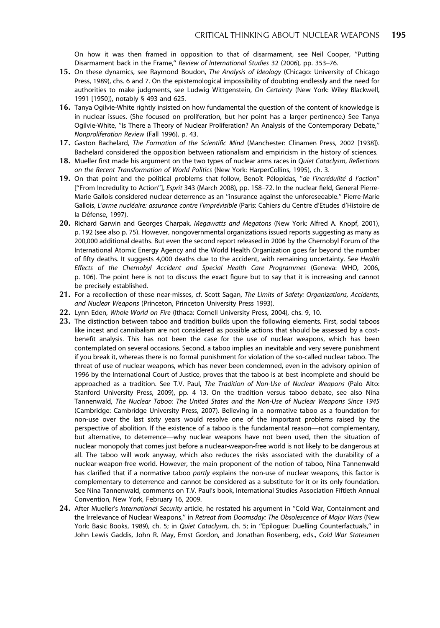On how it was then framed in opposition to that of disarmament, see Neil Cooper, ''Putting Disarmament back in the Frame," Review of International Studies 32 (2006), pp. 353-76.

- 15. On these dynamics, see Raymond Boudon, The Analysis of Ideology (Chicago: University of Chicago Press, 1989), chs. 6 and 7. On the epistemological impossibility of doubting endlessly and the need for authorities to make judgments, see Ludwig Wittgenstein, On Certainty (New York: Wiley Blackwell, 1991 [1950]), notably § 493 and 625.
- 16. Tanya Ogilvie-White rightly insisted on how fundamental the question of the content of knowledge is in nuclear issues. (She focused on proliferation, but her point has a larger pertinence.) See Tanya Ogilvie-White, ''Is There a Theory of Nuclear Proliferation? An Analysis of the Contemporary Debate,'' Nonproliferation Review (Fall 1996), p. 43.
- 17. Gaston Bachelard, The Formation of the Scientific Mind (Manchester: Clinamen Press, 2002 [1938]). Bachelard considered the opposition between rationalism and empiricism in the history of sciences.
- 18. Mueller first made his argument on the two types of nuclear arms races in Quiet Cataclysm, Reflections on the Recent Transformation of World Politics (New York: HarperCollins, 1995), ch. 3.
- 19. On that point and the political problems that follow, Benoît Pélopidas, "de l'incrédulité à l'action" [''From Incredulity to Action''], Esprit 343 (March 2008), pp. 158-72. In the nuclear field, General Pierre-Marie Gallois considered nuclear deterrence as an ''insurance against the unforeseeable.'' Pierre-Marie Gallois, L'arme nucléaire: assurance contre l'imprévisible (Paris: Cahiers du Centre d'Etudes d'Histoire de la Défense, 1997).
- 20. Richard Garwin and Georges Charpak, Megawatts and Megatons (New York: Alfred A. Knopf, 2001), p. 192 (see also p. 75). However, nongovernmental organizations issued reports suggesting as many as 200,000 additional deaths. But even the second report released in 2006 by the Chernobyl Forum of the International Atomic Energy Agency and the World Health Organization goes far beyond the number of fifty deaths. It suggests 4,000 deaths due to the accident, with remaining uncertainty. See Health Effects of the Chernobyl Accident and Special Health Care Programmes (Geneva: WHO, 2006, p. 106). The point here is not to discuss the exact figure but to say that it is increasing and cannot be precisely established.
- 21. For a recollection of these near-misses, cf. Scott Sagan, The Limits of Safety: Organizations, Accidents, and Nuclear Weapons (Princeton, Princeton University Press 1993).
- 22. Lynn Eden, Whole World on Fire (Ithaca: Cornell University Press, 2004), chs. 9, 10.
- 23. The distinction between taboo and tradition builds upon the following elements. First, social taboos like incest and cannibalism are not considered as possible actions that should be assessed by a costbenefit analysis. This has not been the case for the use of nuclear weapons, which has been contemplated on several occasions. Second, a taboo implies an inevitable and very severe punishment if you break it, whereas there is no formal punishment for violation of the so-called nuclear taboo. The threat of use of nuclear weapons, which has never been condemned, even in the advisory opinion of 1996 by the International Court of Justice, proves that the taboo is at best incomplete and should be approached as a tradition. See T.V. Paul, The Tradition of Non-Use of Nuclear Weapons (Palo Alto: Stanford University Press, 2009), pp. 4-13. On the tradition versus taboo debate, see also Nina Tannenwald, The Nuclear Taboo: The United States and the Non-Use of Nuclear Weapons Since 1945 (Cambridge: Cambridge University Press, 2007). Believing in a normative taboo as a foundation for non-use over the last sixty years would resolve one of the important problems raised by the perspective of abolition. If the existence of a taboo is the fundamental reason—not complementary, but alternative, to deterrence—why nuclear weapons have not been used, then the situation of nuclear monopoly that comes just before a nuclear-weapon-free world is not likely to be dangerous at all. The taboo will work anyway, which also reduces the risks associated with the durability of a nuclear-weapon-free world. However, the main proponent of the notion of taboo, Nina Tannenwald has clarified that if a normative taboo partly explains the non-use of nuclear weapons, this factor is complementary to deterrence and cannot be considered as a substitute for it or its only foundation. See Nina Tannenwald, comments on T.V. Paul's book, International Studies Association Fiftieth Annual Convention, New York, February 16, 2009.
- 24. After Mueller's International Security article, he restated his argument in "Cold War, Containment and the Irrelevance of Nuclear Weapons,'' in Retreat from Doomsday: The Obsolescence of Major Wars (New York: Basic Books, 1989), ch. 5; in Quiet Cataclysm, ch. 5; in "Epilogue: Duelling Counterfactuals," in John Lewis Gaddis, John R. May, Ernst Gordon, and Jonathan Rosenberg, eds., Cold War Statesmen